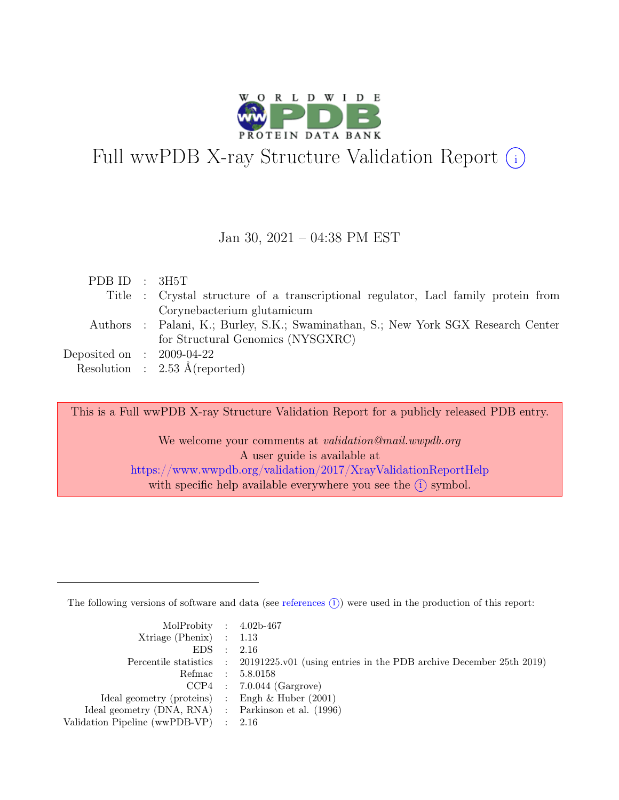

# Full wwPDB X-ray Structure Validation Report  $(i)$

#### Jan 30, 2021 – 04:38 PM EST

| PDB ID : $3H5T$             |                                                                                    |
|-----------------------------|------------------------------------------------------------------------------------|
|                             | Title : Crystal structure of a transcriptional regulator, Lacl family protein from |
|                             | Corynebacterium glutamicum                                                         |
|                             | Authors : Palani, K.; Burley, S.K.; Swaminathan, S.; New York SGX Research Center  |
|                             | for Structural Genomics (NYSGXRC)                                                  |
| Deposited on : $2009-04-22$ |                                                                                    |
|                             | Resolution : $2.53 \text{ Å}$ (reported)                                           |
|                             |                                                                                    |

This is a Full wwPDB X-ray Structure Validation Report for a publicly released PDB entry.

We welcome your comments at validation@mail.wwpdb.org A user guide is available at <https://www.wwpdb.org/validation/2017/XrayValidationReportHelp> with specific help available everywhere you see the  $(i)$  symbol.

The following versions of software and data (see [references](https://www.wwpdb.org/validation/2017/XrayValidationReportHelp#references)  $(i)$ ) were used in the production of this report:

| MolProbity : $4.02b-467$                            |                                                                                            |
|-----------------------------------------------------|--------------------------------------------------------------------------------------------|
| Xtriage (Phenix) $: 1.13$                           |                                                                                            |
| EDS : 2.16                                          |                                                                                            |
|                                                     | Percentile statistics : 20191225.v01 (using entries in the PDB archive December 25th 2019) |
|                                                     | Refmac : 5.8.0158                                                                          |
|                                                     | $CCP4$ : 7.0.044 (Gargrove)                                                                |
| Ideal geometry (proteins) : Engh $\&$ Huber (2001)  |                                                                                            |
| Ideal geometry (DNA, RNA) : Parkinson et al. (1996) |                                                                                            |
| Validation Pipeline (wwPDB-VP) $\therefore$ 2.16    |                                                                                            |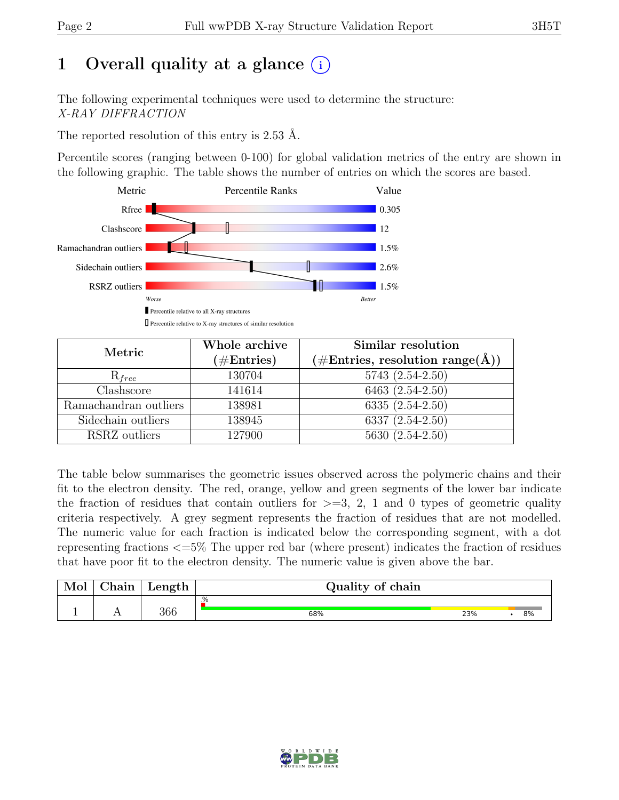# 1 Overall quality at a glance  $(i)$

The following experimental techniques were used to determine the structure: X-RAY DIFFRACTION

The reported resolution of this entry is 2.53 Å.

Percentile scores (ranging between 0-100) for global validation metrics of the entry are shown in the following graphic. The table shows the number of entries on which the scores are based.



| Metric                | Whole archive<br>$(\#Entries)$ | Similar resolution<br>$(\# \text{Entries}, \text{ resolution } \text{range}(\AA))$ |
|-----------------------|--------------------------------|------------------------------------------------------------------------------------|
| $R_{free}$            | 130704                         | 5743 (2.54-2.50)                                                                   |
| Clashscore            | 141614                         | 6463 (2.54-2.50)                                                                   |
| Ramachandran outliers | 138981                         | $6335(2.54-2.50)$                                                                  |
| Sidechain outliers    | 138945                         | 6337 $(2.54 - 2.50)$                                                               |
| RSRZ outliers         | 127900                         | $5630(2.54-2.50)$                                                                  |

The table below summarises the geometric issues observed across the polymeric chains and their fit to the electron density. The red, orange, yellow and green segments of the lower bar indicate the fraction of residues that contain outliers for  $\geq$ =3, 2, 1 and 0 types of geometric quality criteria respectively. A grey segment represents the fraction of residues that are not modelled. The numeric value for each fraction is indicated below the corresponding segment, with a dot representing fractions <=5% The upper red bar (where present) indicates the fraction of residues that have poor fit to the electron density. The numeric value is given above the bar.

| Mol      | $\sim$ $\sim$<br>hain | $L$ ength | Quality of chain |     |    |
|----------|-----------------------|-----------|------------------|-----|----|
|          |                       |           | .%               |     |    |
| <u>.</u> | $\overline{1}$        | 366       | 68%              | 23% | 8% |

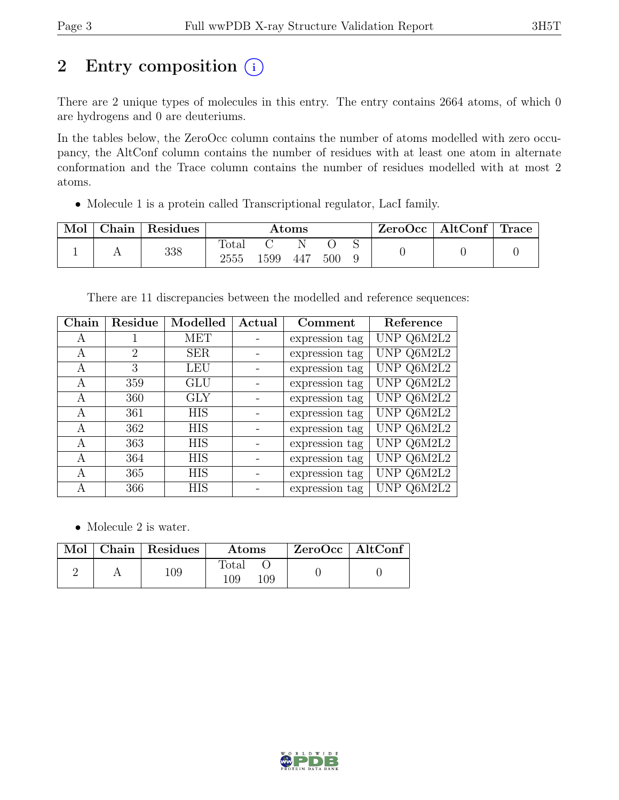# 2 Entry composition  $(i)$

There are 2 unique types of molecules in this entry. The entry contains 2664 atoms, of which 0 are hydrogens and 0 are deuteriums.

In the tables below, the ZeroOcc column contains the number of atoms modelled with zero occupancy, the AltConf column contains the number of residues with at least one atom in alternate conformation and the Trace column contains the number of residues modelled with at most 2 atoms.

• Molecule 1 is a protein called Transcriptional regulator, LacI family.

| Mol | ${\rm Chain}$ | Residues | $\rm{Atoms}$  |      |     |     | $\text{ZeroOcc}$   AltConf   Trace |  |  |
|-----|---------------|----------|---------------|------|-----|-----|------------------------------------|--|--|
|     |               | 338      | Total<br>2555 | 1599 | 447 | 500 |                                    |  |  |

There are 11 discrepancies between the modelled and reference sequences:

| Chain | Residue | Modelled   | Actual | Comment        | Reference  |
|-------|---------|------------|--------|----------------|------------|
| Α     |         | MET        |        | expression tag | UNP Q6M2L2 |
| A     | 2       | <b>SER</b> |        | expression tag | UNP Q6M2L2 |
| А     | 3       | <b>LEU</b> |        | expression tag | UNP Q6M2L2 |
| A     | 359     | GLU        |        | expression tag | UNP Q6M2L2 |
| A     | 360     | <b>GLY</b> |        | expression tag | UNP Q6M2L2 |
| A     | 361     | <b>HIS</b> |        | expression tag | UNP Q6M2L2 |
| A     | 362     | <b>HIS</b> |        | expression tag | UNP Q6M2L2 |
| A     | 363     | <b>HIS</b> |        | expression tag | UNP Q6M2L2 |
| A     | 364     | <b>HIS</b> |        | expression tag | UNP Q6M2L2 |
| А     | 365     | <b>HIS</b> |        | expression tag | UNP Q6M2L2 |
| А     | 366     | <b>HIS</b> |        | expression tag | UNP Q6M2L2 |

• Molecule 2 is water.

|  | Mol   Chain   Residues | <b>Atoms</b>        | ZeroOcc   AltConf |  |
|--|------------------------|---------------------|-------------------|--|
|  | 109                    | Total<br>109<br>109 |                   |  |

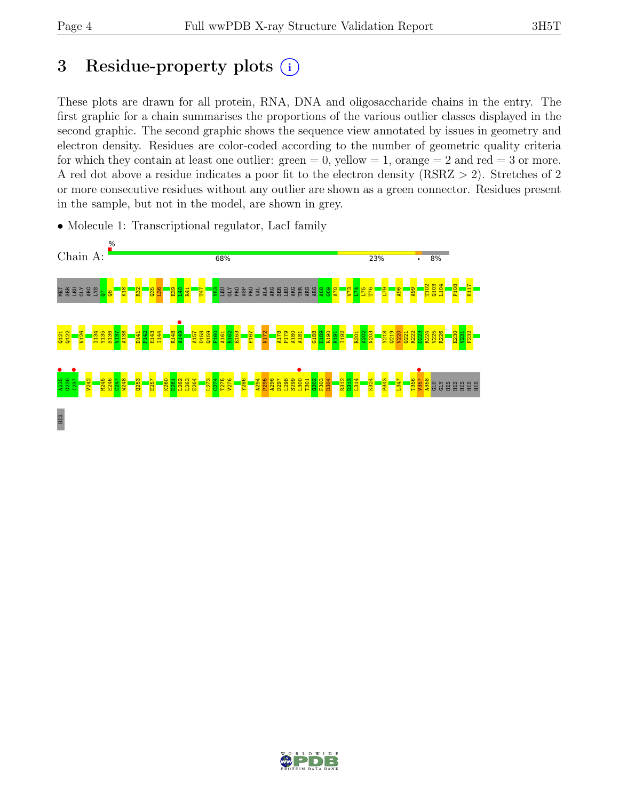# 3 Residue-property plots  $(i)$

These plots are drawn for all protein, RNA, DNA and oligosaccharide chains in the entry. The first graphic for a chain summarises the proportions of the various outlier classes displayed in the second graphic. The second graphic shows the sequence view annotated by issues in geometry and electron density. Residues are color-coded according to the number of geometric quality criteria for which they contain at least one outlier:  $green = 0$ , yellow  $= 1$ , orange  $= 2$  and red  $= 3$  or more. A red dot above a residue indicates a poor fit to the electron density (RSRZ > 2). Stretches of 2 or more consecutive residues without any outlier are shown as a green connector. Residues present in the sample, but not in the model, are shown in grey.



• Molecule 1: Transcriptional regulator, LacI family

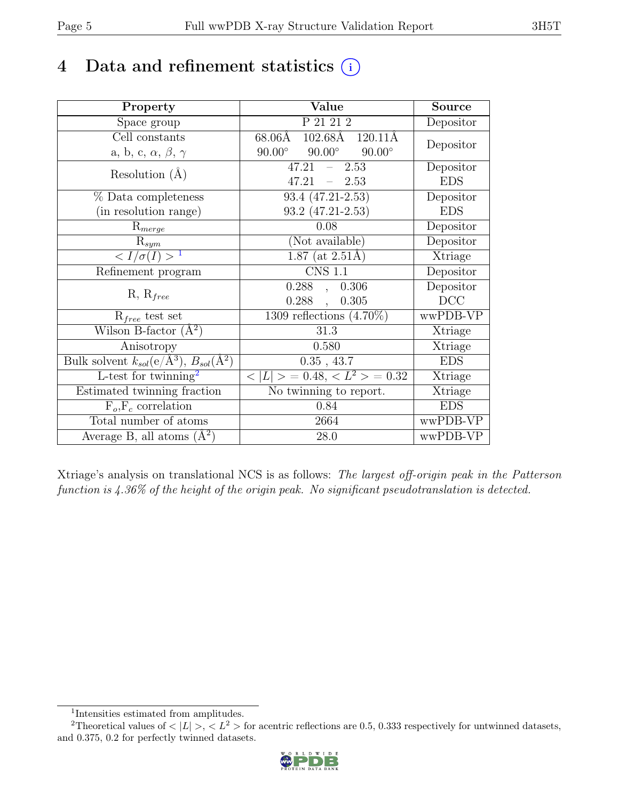# 4 Data and refinement statistics  $(i)$

| Property                                                             | Value                                           | Source         |
|----------------------------------------------------------------------|-------------------------------------------------|----------------|
| Space group                                                          | P 21 21 2                                       | Depositor      |
| Cell constants                                                       | $68.06\text{\AA}$<br>102.68Å 120.11Å            |                |
| a, b, c, $\alpha$ , $\beta$ , $\gamma$                               | $90.00^\circ$<br>$90.00^\circ$<br>$90.00^\circ$ | Depositor      |
| Resolution $(A)$                                                     | 47.21<br>2.53<br>$\frac{1}{2}$                  | Depositor      |
|                                                                      | 47.21<br>$-2.53$                                | <b>EDS</b>     |
| % Data completeness                                                  | 93.4 (47.21-2.53)                               | Depositor      |
| (in resolution range)                                                | 93.2 (47.21-2.53)                               | <b>EDS</b>     |
| $R_{merge}$                                                          | 0.08                                            | Depositor      |
| $\mathrm{R}_{sym}$                                                   | (Not available)                                 | Depositor      |
| $\langle I/\sigma(I) \rangle$ <sup>1</sup>                           | $1.87$ (at 2.51Å)                               | Xtriage        |
| Refinement program                                                   | $\overline{\text{CNS} 1.1}$                     | Depositor      |
|                                                                      | $0.288$ , $0.306$                               | Depositor      |
| $R, R_{free}$                                                        | $0.288$ ,<br>0.305                              | DCC            |
| $R_{free}$ test set                                                  | 1309 reflections $(4.70\%)$                     | wwPDB-VP       |
| Wilson B-factor $(A^2)$                                              | 31.3                                            | Xtriage        |
| Anisotropy                                                           | 0.580                                           | Xtriage        |
| Bulk solvent $k_{sol}(e/\mathring{A}^3)$ , $B_{sol}(\mathring{A}^2)$ | $0.35$ , $43.7\,$                               | <b>EDS</b>     |
| L-test for $\mathrm{twinning}^2$                                     | $< L >$ = 0.48, $< L^2 >$ = 0.32                | <b>Xtriage</b> |
| Estimated twinning fraction                                          | No twinning to report.                          | Xtriage        |
| $\overline{F_o}, \overline{F_c}$ correlation                         | 0.84                                            | <b>EDS</b>     |
| Total number of atoms                                                | 2664                                            | wwPDB-VP       |
| Average B, all atoms $(A^2)$                                         | 28.0                                            | wwPDB-VP       |

Xtriage's analysis on translational NCS is as follows: The largest off-origin peak in the Patterson function is 4.36% of the height of the origin peak. No significant pseudotranslation is detected.

<sup>&</sup>lt;sup>2</sup>Theoretical values of  $\langle |L| \rangle$ ,  $\langle L^2 \rangle$  for acentric reflections are 0.5, 0.333 respectively for untwinned datasets, and 0.375, 0.2 for perfectly twinned datasets.



<span id="page-4-1"></span><span id="page-4-0"></span><sup>1</sup> Intensities estimated from amplitudes.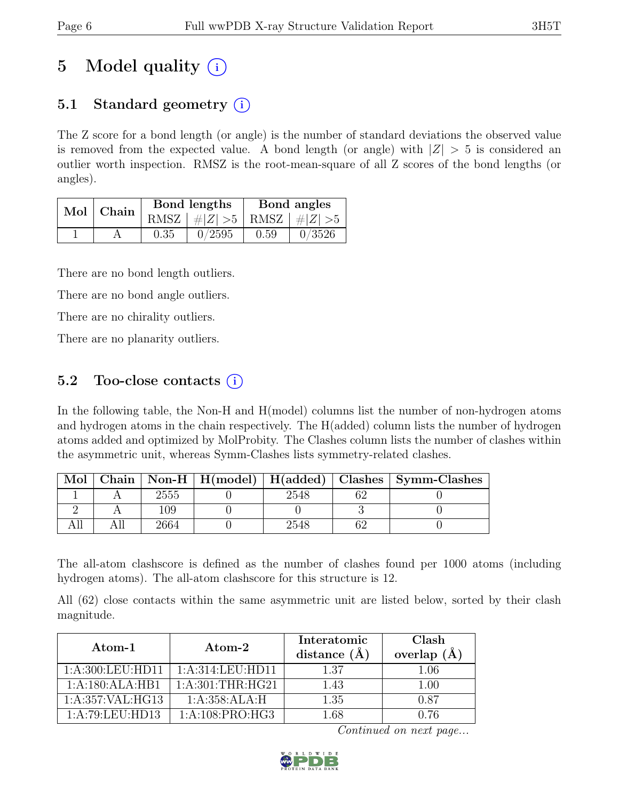# 5 Model quality  $(i)$

## 5.1 Standard geometry  $(i)$

The Z score for a bond length (or angle) is the number of standard deviations the observed value is removed from the expected value. A bond length (or angle) with  $|Z| > 5$  is considered an outlier worth inspection. RMSZ is the root-mean-square of all Z scores of the bond lengths (or angles).

| Mol | Chain |      | Bond lengths                    | Bond angles |        |
|-----|-------|------|---------------------------------|-------------|--------|
|     |       |      | RMSZ $ #Z  > 5$ RMSZ $ #Z  > 5$ |             |        |
|     |       | 0.35 | 0/2595                          | 0.59        | 0/3526 |

There are no bond length outliers.

There are no bond angle outliers.

There are no chirality outliers.

There are no planarity outliers.

### 5.2 Too-close contacts  $(i)$

In the following table, the Non-H and H(model) columns list the number of non-hydrogen atoms and hydrogen atoms in the chain respectively. The H(added) column lists the number of hydrogen atoms added and optimized by MolProbity. The Clashes column lists the number of clashes within the asymmetric unit, whereas Symm-Clashes lists symmetry-related clashes.

| Mol |      |      | Chain   Non-H   H(model)   H(added)   Clashes   Symm-Clashes |
|-----|------|------|--------------------------------------------------------------|
|     | 2555 | 2548 |                                                              |
|     | 109  |      |                                                              |
|     | 2664 | 2548 |                                                              |

The all-atom clashscore is defined as the number of clashes found per 1000 atoms (including hydrogen atoms). The all-atom clashscore for this structure is 12.

All (62) close contacts within the same asymmetric unit are listed below, sorted by their clash magnitude.

| Atom-1              | $\rm{Atom}\text{-}2$ | Interatomic<br>distance $(A)$ | Clash<br>overlap $(A)$ |
|---------------------|----------------------|-------------------------------|------------------------|
| 1: A:300: LEU: HD11 | 1: A:314:LEU:HD11    | 1.37                          | $1.06\,$               |
| 1:A:180:ALA:HB1     | 1: A:301:THR:HG21    | 1.43                          | 1.00                   |
| 1:A:357:VAL:HG13    | 1: A:358:ALA:H       | 1.35                          | ገ ጸ7                   |
| 1:A:79:LEU:HD13     | 1:A:108:PRO:HG3      | L 68                          | ነ 76                   |

Continued on next page...

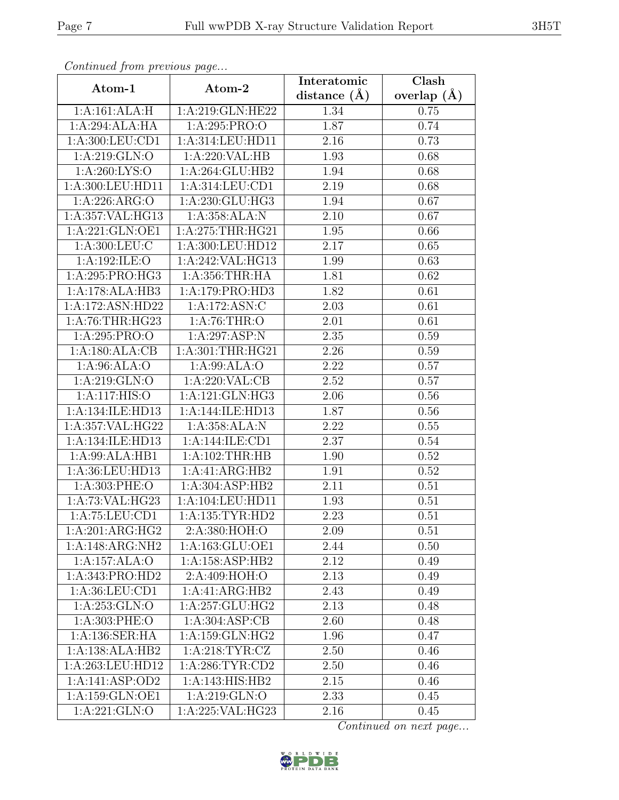| Continuea from previous page |                              | Interatomic       | Clash         |
|------------------------------|------------------------------|-------------------|---------------|
| Atom-1                       | Atom-2                       | distance $(A)$    | overlap $(A)$ |
| 1:A:161:ALA:H                | 1:A:219:GLN:HE22             | 1.34              | 0.75          |
| 1:A:294:ALA:HA               | 1:A:295:PRO:O                | 1.87              | 0.74          |
| 1: A:300: LEU: CD1           | 1:A:314:LEU:HD11             | 2.16              | 0.73          |
| 1:A:219:GLN:O                | 1:A:220:VAL:HB               | 1.93              | 0.68          |
| 1: A:260: LYS:O              | $1:A:264:GL\overline{U:HB2}$ | 1.94              | 0.68          |
| 1:A:300:LEU:HD11             | 1:A:314:LEU:CD1              | 2.19              | 0.68          |
| 1:A:226:ARG:O                | 1:A:230:GLU:HG3              | 1.94              | 0.67          |
| 1:A:357:VAL:HG13             | 1:A:358:ALA:N                | 2.10              | 0.67          |
| 1:A:221:GLN:OE1              | 1:A:275:THR:HG21             | 1.95              | 0.66          |
| 1: A:300: LEU: C             | 1:A:300:LEU:HD12             | 2.17              | 0.65          |
| 1:A:192:ILE:O                | 1:A:242:VAL:HG13             | 1.99              | 0.63          |
| 1:A:295:PRO:HG3              | 1:A:356:THR:HA               | 1.81              | 0.62          |
| 1:A:178:ALA:HB3              | 1:A:179:PRO:HD3              | 1.82              | 0.61          |
| 1:A:172:ASN:HD22             | 1:A:172:ASN:C                | 2.03              | 0.61          |
| 1: A:76:THR:HG23             | 1: A:76:THR:O                | 2.01              | 0.61          |
| 1: A:295: PRO:O              | 1:A:297:ASP:N                | 2.35              | 0.59          |
| 1:A:180:ALA:CB               | 1:A:301:THR:HG21             | 2.26              | 0.59          |
| 1: A:96: ALA:O               | 1: A:99: ALA:O               | 2.22              | 0.57          |
| 1: A:219: GLN:O              | 1:A:220:VAL:CB               | $\overline{2.52}$ | 0.57          |
| 1:A:117:HIS:O                | 1:A:121:GLN:HG3              | 2.06              | 0.56          |
| 1:A:134:ILE:HD13             | 1:A:144:ILE:HD13             | 1.87              | 0.56          |
| 1:A:357:VAL:HG22             | 1:A:358:ALA:N                | 2.22              | 0.55          |
| 1:A:134:ILE:HD13             | 1:A:144:ILE:CD1              | 2.37              | 0.54          |
| $1:A:99:AL\overline{A:HBI}$  | 1: A:102:THR:HB              | 1.90              | 0.52          |
| 1:A:36:LEU:HD13              | 1:A:41:ARG:HB2               | 1.91              | 0.52          |
| 1: A:303: PHE:O              | 1:A:304:ASP:HB2              | 2.11              | 0.51          |
| 1:A:73:VAL:HG23              | 1:A:104:LEU:HD11             | 1.93              | 0.51          |
| 1:A:75:LEU:CD1               | 1: A: 135: TYR: HD2          | 2.23              | 0.51          |
| $1:A:201:AR\overline{G:HG2}$ | 2:A:380:HOH:O                | 2.09              | 0.51          |
| 1:A:148:ARG:NH2              | 1:A:163:GLU:OE1              | 2.44              | 0.50          |
| 1:A:157:ALA:O                | 1: A:158: ASP:HB2            | 2.12              | 0.49          |
| 1:A:343:PRO:HD2              | 2:A:409:HOH:O                | 2.13              | 0.49          |
| 1: A:36: LEU:CD1             | 1:A:41:ARG:HB2               | 2.43              | 0.49          |
| 1: A:253: GLN:O              | 1:A:257:GLU:HG2              | 2.13              | 0.48          |
| 1: A:303: PHE:O              | 1:A:304:ASP:CB               | 2.60              | 0.48          |
| 1:A:136:SER:HA               | 1:A:159:GLN:HG2              | 1.96              | 0.47          |
| 1:A:138:ALA:HB2              | 1: A:218: TYR: CZ            | 2.50              | 0.46          |
| 1:A:263:LEU:HD12             | 1: A:286: TYR:CD2            | 2.50              | 0.46          |
| 1:A:141:ASP:OD2              | 1:A:143:HIS:HB2              | 2.15              | 0.46          |
| 1:A:159:GLN:OE1              | 1:A:219:GLN:O                | 2.33              | 0.45          |
| 1:A:221:GLN:O                | 1:A:225:VAL:HG23             | 2.16              | 0.45          |

Continued from previous page.

Continued on next page...

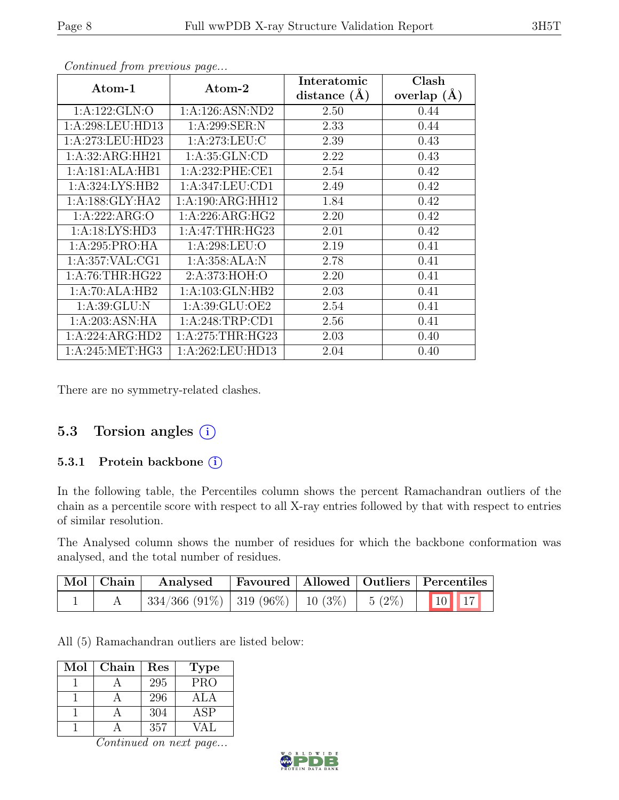| Atom-1              | Atom-2             | Interatomic      | Clash         |
|---------------------|--------------------|------------------|---------------|
|                     |                    | distance $(\AA)$ | overlap $(A)$ |
| 1:A:122:GLN:O       | 1: A:126: ASN: ND2 | 2.50             | 0.44          |
| 1:A:298:LEU:HD13    | 1: A:299: SER: N   | 2.33             | 0.44          |
| 1:A:273:LEU:HD23    | 1: A:273:LEU: C    | 2.39             | 0.43          |
| 1:A:32:ARG:HH21     | 1: A:35: GLN:CD    | 2.22             | 0.43          |
| 1:A:181:ALA:HB1     | 1: A:232: PHE:CE1  | 2.54             | 0.42          |
| 1:A:324:LYS:HB2     | 1:A:347:LEU:CD1    | 2.49             | 0.42          |
| 1: A: 188: GLY: HA2 | 1:A:190:ARG:HH12   | 1.84             | 0.42          |
| 1:A:222:ARG:O       | 1:A:226:ARG:HG2    | 2.20             | 0.42          |
| 1:A:18:LYS:HD3      | 1:A:47:THR:HG23    | 2.01             | 0.42          |
| 1:A:295:PRO:HA      | 1: A:298:LEU:O     | 2.19             | 0.41          |
| 1: A:357: VAL:CG1   | 1:A:358:ALA:N      | 2.78             | 0.41          |
| 1: A:76:THR:HG22    | 2:A:373:HOH:O      | 2.20             | 0.41          |
| 1:A:70:ALA:HB2      | 1:A:103:GLN:HB2    | 2.03             | 0.41          |
| 1:A:39:GLU:N        | 1:A:39:GLU:OE2     | 2.54             | 0.41          |
| 1:A:203:ASN:HA      | 1:A:248:TRP:CD1    | 2.56             | 0.41          |
| 1:A:224:ARG:HD2     | 1: A:275:THR:HG23  | 2.03             | 0.40          |
| 1: A:245: MET:HG3   | 1:A:262:LEU:HD13   | 2.04             | 0.40          |

Continued from previous page...

There are no symmetry-related clashes.

### 5.3 Torsion angles (i)

#### 5.3.1 Protein backbone ①

In the following table, the Percentiles column shows the percent Ramachandran outliers of the chain as a percentile score with respect to all X-ray entries followed by that with respect to entries of similar resolution.

The Analysed column shows the number of residues for which the backbone conformation was analysed, and the total number of residues.

| Mol Chain | Analysed |  | <b>Favoured   Allowed   Outliers   Percentiles</b> |
|-----------|----------|--|----------------------------------------------------|
|           |          |  |                                                    |

All (5) Ramachandran outliers are listed below:

| Mol | Chain | Res | <b>Type</b> |
|-----|-------|-----|-------------|
|     |       | 295 | <b>PRO</b>  |
|     |       | 296 | A L A       |
|     |       | 304 | ASP         |
|     |       | 357 |             |

Continued on next page...

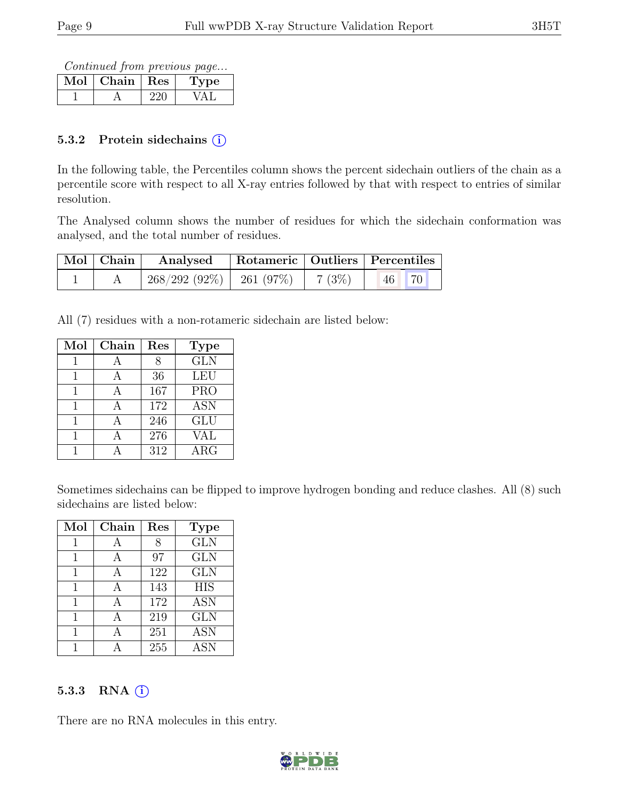Continued from previous page...

| Chain | Res | 'De |
|-------|-----|-----|
|       |     |     |

#### 5.3.2 Protein sidechains  $(i)$

In the following table, the Percentiles column shows the percent sidechain outliers of the chain as a percentile score with respect to all X-ray entries followed by that with respect to entries of similar resolution.

The Analysed column shows the number of residues for which the sidechain conformation was analysed, and the total number of residues.

| $\mid$ Mol $\mid$ Chain $\mid$ | Analysed                     | Rotameric   Outliers   Percentiles |       |          |
|--------------------------------|------------------------------|------------------------------------|-------|----------|
|                                | $268/292(92\%)$   261 (97\%) |                                    | 7(3%) | 70<br>46 |

All (7) residues with a non-rotameric sidechain are listed below:

| Mol | Chain | Res | <b>Type</b> |
|-----|-------|-----|-------------|
|     |       |     | GLN         |
|     | А     | 36  | LEU         |
|     | Д     | 167 | <b>PRO</b>  |
|     |       | 172 | <b>ASN</b>  |
| 1   | A     | 246 | <b>GLU</b>  |
|     |       | 276 | VAL         |
|     |       | 312 | $\rm{ARG}$  |

Sometimes sidechains can be flipped to improve hydrogen bonding and reduce clashes. All (8) such sidechains are listed below:

| Mol | Chain          | Res | <b>Type</b> |
|-----|----------------|-----|-------------|
|     |                |     | <b>GLN</b>  |
|     | A              | 97  | <b>GLN</b>  |
| 1   | $\overline{A}$ | 122 | <b>GLN</b>  |
| 1   | А              | 143 | <b>HIS</b>  |
|     |                | 172 | <b>ASN</b>  |
|     |                | 219 | <b>GLN</b>  |
|     |                | 251 | <b>ASN</b>  |
|     |                | 255 | <b>ASN</b>  |

#### 5.3.3 RNA  $(i)$

There are no RNA molecules in this entry.

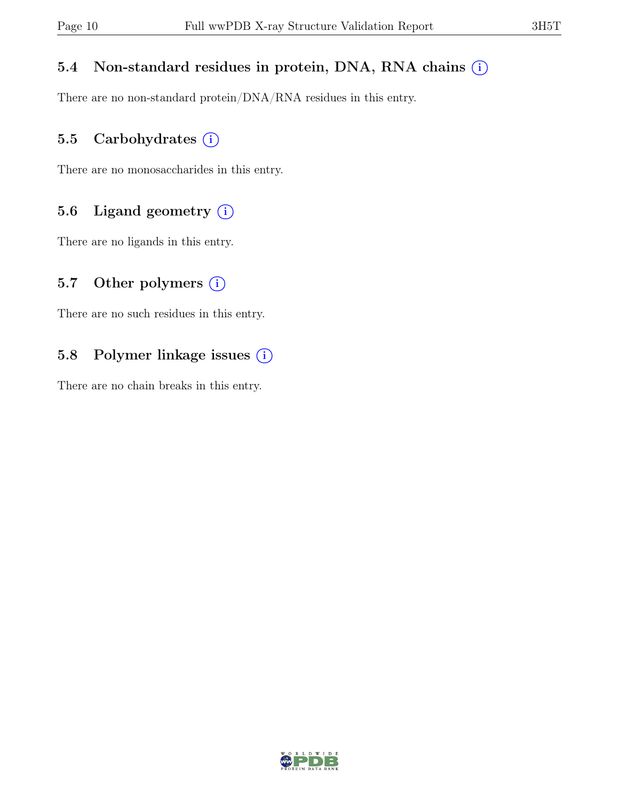#### 5.4 Non-standard residues in protein, DNA, RNA chains  $(i)$

There are no non-standard protein/DNA/RNA residues in this entry.

#### 5.5 Carbohydrates  $(i)$

There are no monosaccharides in this entry.

### 5.6 Ligand geometry  $(i)$

There are no ligands in this entry.

#### 5.7 Other polymers  $(i)$

There are no such residues in this entry.

### 5.8 Polymer linkage issues (i)

There are no chain breaks in this entry.